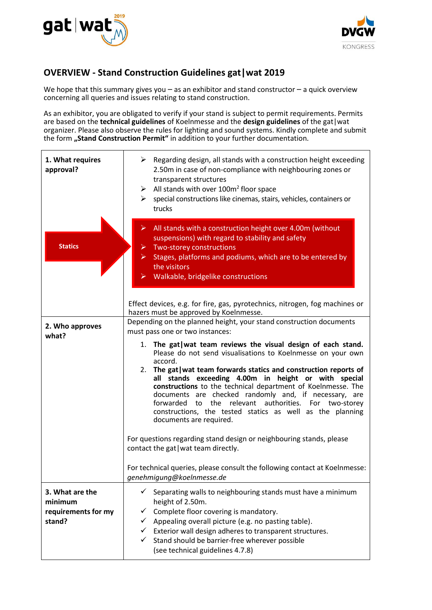



## **OVERVIEW - Stand Construction Guidelines gat|wat 2019**

We hope that this summary gives you  $-$  as an exhibitor and stand constructor  $-$  a quick overview concerning all queries and issues relating to stand construction.

As an exhibitor, you are obligated to verify if your stand is subject to permit requirements. Permits are based on the **technical guidelines** of Koelnmesse and the **design guidelines** of the gat|wat organizer. Please also observe the rules for lighting and sound systems. Kindly complete and submit the form **"Stand Construction Permit"** in addition to your further documentation.

| 1. What requires<br>approval?                               | $\triangleright$ Regarding design, all stands with a construction height exceeding<br>2.50m in case of non-compliance with neighbouring zones or<br>transparent structures<br>All stands with over $100m^2$ floor space<br>special constructions like cinemas, stairs, vehicles, containers or<br>➤<br>trucks                                                                                                                                                                                                                                |
|-------------------------------------------------------------|----------------------------------------------------------------------------------------------------------------------------------------------------------------------------------------------------------------------------------------------------------------------------------------------------------------------------------------------------------------------------------------------------------------------------------------------------------------------------------------------------------------------------------------------|
| <b>Statics</b>                                              | All stands with a construction height over 4.00m (without<br>suspensions) with regard to stability and safety<br>Two-storey constructions<br>$\triangleright$ Stages, platforms and podiums, which are to be entered by<br>the visitors<br>Walkable, bridgelike constructions<br>Effect devices, e.g. for fire, gas, pyrotechnics, nitrogen, fog machines or                                                                                                                                                                                 |
|                                                             | hazers must be approved by Koelnmesse.<br>Depending on the planned height, your stand construction documents                                                                                                                                                                                                                                                                                                                                                                                                                                 |
| 2. Who approves                                             | must pass one or two instances:                                                                                                                                                                                                                                                                                                                                                                                                                                                                                                              |
| what?                                                       | 1. The gat wat team reviews the visual design of each stand.<br>Please do not send visualisations to Koelnmesse on your own<br>accord.<br>2. The gat wat team forwards statics and construction reports of<br>all stands exceeding 4.00m in height or with special<br>constructions to the technical department of Koelnmesse. The<br>documents are checked randomly and, if necessary, are<br>forwarded to the relevant authorities. For two-storey<br>constructions, the tested statics as well as the planning<br>documents are required. |
|                                                             | For questions regarding stand design or neighbouring stands, please<br>contact the gat   wat team directly.                                                                                                                                                                                                                                                                                                                                                                                                                                  |
|                                                             | For technical queries, please consult the following contact at Koelnmesse:<br>genehmigung@koelnmesse.de                                                                                                                                                                                                                                                                                                                                                                                                                                      |
| 3. What are the<br>minimum<br>requirements for my<br>stand? | Separating walls to neighbouring stands must have a minimum<br>✓<br>height of 2.50m.<br>Complete floor covering is mandatory.<br>✓<br>Appealing overall picture (e.g. no pasting table).<br>$\checkmark$<br>$\checkmark$ Exterior wall design adheres to transparent structures.<br>Stand should be barrier-free wherever possible<br>$\checkmark$<br>(see technical guidelines 4.7.8)                                                                                                                                                       |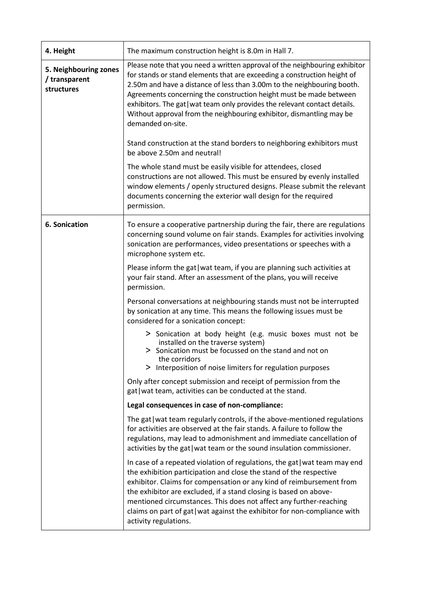| 4. Height                                            | The maximum construction height is 8.0m in Hall 7.                                                                                                                                                                                                                                                                                                                                                                                                                               |
|------------------------------------------------------|----------------------------------------------------------------------------------------------------------------------------------------------------------------------------------------------------------------------------------------------------------------------------------------------------------------------------------------------------------------------------------------------------------------------------------------------------------------------------------|
| 5. Neighbouring zones<br>/ transparent<br>structures | Please note that you need a written approval of the neighbouring exhibitor<br>for stands or stand elements that are exceeding a construction height of<br>2.50m and have a distance of less than 3.00m to the neighbouring booth.<br>Agreements concerning the construction height must be made between<br>exhibitors. The gat wat team only provides the relevant contact details.<br>Without approval from the neighbouring exhibitor, dismantling may be<br>demanded on-site. |
|                                                      | Stand construction at the stand borders to neighboring exhibitors must<br>be above 2.50m and neutral!                                                                                                                                                                                                                                                                                                                                                                            |
|                                                      | The whole stand must be easily visible for attendees, closed<br>constructions are not allowed. This must be ensured by evenly installed<br>window elements / openly structured designs. Please submit the relevant<br>documents concerning the exterior wall design for the required<br>permission.                                                                                                                                                                              |
| <b>6. Sonication</b>                                 | To ensure a cooperative partnership during the fair, there are regulations<br>concerning sound volume on fair stands. Examples for activities involving<br>sonication are performances, video presentations or speeches with a<br>microphone system etc.                                                                                                                                                                                                                         |
|                                                      | Please inform the gat   wat team, if you are planning such activities at<br>your fair stand. After an assessment of the plans, you will receive<br>permission.                                                                                                                                                                                                                                                                                                                   |
|                                                      | Personal conversations at neighbouring stands must not be interrupted<br>by sonication at any time. This means the following issues must be<br>considered for a sonication concept:                                                                                                                                                                                                                                                                                              |
|                                                      | > Sonication at body height (e.g. music boxes must not be<br>installed on the traverse system)<br>> Sonication must be focussed on the stand and not on<br>the corridors<br>> Interposition of noise limiters for regulation purposes                                                                                                                                                                                                                                            |
|                                                      | Only after concept submission and receipt of permission from the<br>gat   wat team, activities can be conducted at the stand.                                                                                                                                                                                                                                                                                                                                                    |
|                                                      | Legal consequences in case of non-compliance:                                                                                                                                                                                                                                                                                                                                                                                                                                    |
|                                                      | The gat wat team regularly controls, if the above-mentioned regulations<br>for activities are observed at the fair stands. A failure to follow the<br>regulations, may lead to admonishment and immediate cancellation of<br>activities by the gat   wat team or the sound insulation commissioner.                                                                                                                                                                              |
|                                                      | In case of a repeated violation of regulations, the gat wat team may end<br>the exhibition participation and close the stand of the respective<br>exhibitor. Claims for compensation or any kind of reimbursement from<br>the exhibitor are excluded, if a stand closing is based on above-<br>mentioned circumstances. This does not affect any further-reaching<br>claims on part of gat   wat against the exhibitor for non-compliance with<br>activity regulations.          |